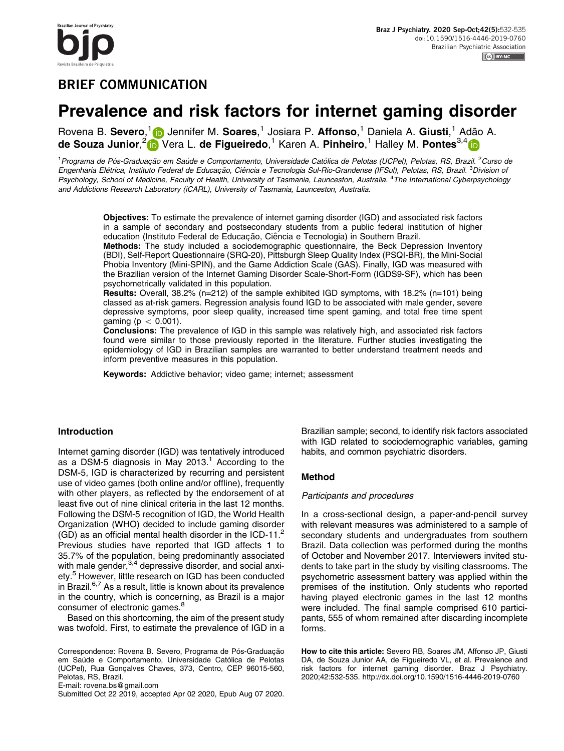azilian Journal of Psychiatry

# BRIEF COMMUNICATION

# Prevalence and risk factors for internet gaming disorder

Rovena B. Severo,<sup>1</sup> in Jennifer M. Soares,<sup>1</sup> Josiara P. Affonso,<sup>1</sup> Daniela A. Giusti,<sup>1</sup> Adão A. de Souza Junior,<sup>2</sup> in Vera L. de Figueiredo,<sup>1</sup> Karen A. Pinheiro,<sup>1</sup> Halley M. Pontes<sup>3,4</sup> li

<sup>1</sup> Programa de Pós-Graduação em Saúde e Comportamento, Universidade Católica de Pelotas (UCPel), Pelotas, RS, Brazil. <sup>2</sup>Curso de Engenharia Elétrica, Instituto Federal de Educação, Ciência e Tecnologia Sul-Rio-Grandense (IFSul), Pelotas, RS, Brazil. <sup>3</sup>Division oi Psychology, School of Medicine, Faculty of Health, University of Tasmania, Launceston, Australia. <sup>4</sup>The International Cyberpsychology and Addictions Research Laboratory (iCARL), University of Tasmania, Launceston, Australia.

Objectives: To estimate the prevalence of internet gaming disorder (IGD) and associated risk factors in a sample of secondary and postsecondary students from a public federal institution of higher education (Instituto Federal de Educação, Ciência e Tecnologia) in Southern Brazil.

Methods: The study included a sociodemographic questionnaire, the Beck Depression Inventory (BDI), Self-Report Questionnaire (SRQ-20), Pittsburgh Sleep Quality Index (PSQI-BR), the Mini-Social Phobia Inventory (Mini-SPIN), and the Game Addiction Scale (GAS). Finally, IGD was measured with the Brazilian version of the Internet Gaming Disorder Scale-Short-Form (IGDS9-SF), which has been psychometrically validated in this population.

Results: Overall, 38.2% (n=212) of the sample exhibited IGD symptoms, with 18.2% (n=101) being classed as at-risk gamers. Regression analysis found IGD to be associated with male gender, severe depressive symptoms, poor sleep quality, increased time spent gaming, and total free time spent gaming ( $p < 0.001$ ).

Conclusions: The prevalence of IGD in this sample was relatively high, and associated risk factors found were similar to those previously reported in the literature. Further studies investigating the epidemiology of IGD in Brazilian samples are warranted to better understand treatment needs and inform preventive measures in this population.

Keywords: Addictive behavior; video game; internet; assessment

# Introduction

Internet gaming disorder (IGD) was tentatively introduced as a DSM-5 diagnosis in May 20[1](#page-3-0)3.<sup>1</sup> According to the DSM-5, IGD is characterized by recurring and persistent use of video games (both online and/or offline), frequently with other players, as reflected by the endorsement of at least five out of nine clinical criteria in the last 12 months. Following the DSM-5 recognition of IGD, the World Health Organization (WHO) decided to include gaming disorder (GD) as an official mental health disorder in the ICD-11. $<sup>2</sup>$ </sup> Previous studies have reported that IGD affects 1 to 35.7% of the population, being predominantly associated with male gender,<sup>3,4</sup> depressive disorder, and social anxi-ety.<sup>[5](#page-3-0)</sup> However, little research on IGD has been conducted in Brazil.<sup>6,7</sup> As a result, little is known about its prevalence in the country, which is concerning, as Brazil is a major consumer of electronic games.<sup>8</sup>

Based on this shortcoming, the aim of the present study was twofold. First, to estimate the prevalence of IGD in a

Correspondence: Rovena B. Severo, Programa de Pós-Graduação em Saúde e Comportamento, Universidade Católica de Pelotas (UCPel), Rua Gonçalves Chaves, 373, Centro, CEP 96015-560, Pelotas, RS, Brazil.

E-mail: [rovena.bs@gmail.com](mailto:rovena.bs@gmail.com)

Submitted Oct 22 2019, accepted Apr 02 2020, Epub Aug 07 2020.

Brazilian sample; second, to identify risk factors associated with IGD related to sociodemographic variables, gaming habits, and common psychiatric disorders.

# Method

#### Participants and procedures

In a cross-sectional design, a paper-and-pencil survey with relevant measures was administered to a sample of secondary students and undergraduates from southern Brazil. Data collection was performed during the months of October and November 2017. Interviewers invited students to take part in the study by visiting classrooms. The psychometric assessment battery was applied within the premises of the institution. Only students who reported having played electronic games in the last 12 months were included. The final sample comprised 610 participants, 555 of whom remained after discarding incomplete forms.

How to cite this article: Severo RB, Soares JM, Affonso JP, Giusti DA, de Souza Junior AA, de Figueiredo VL, et al. Prevalence and risk factors for internet gaming disorder. Braz J Psychiatry. 2020;42:532-535.<http://dx.doi.org/10.1590/1516-4446-2019-0760>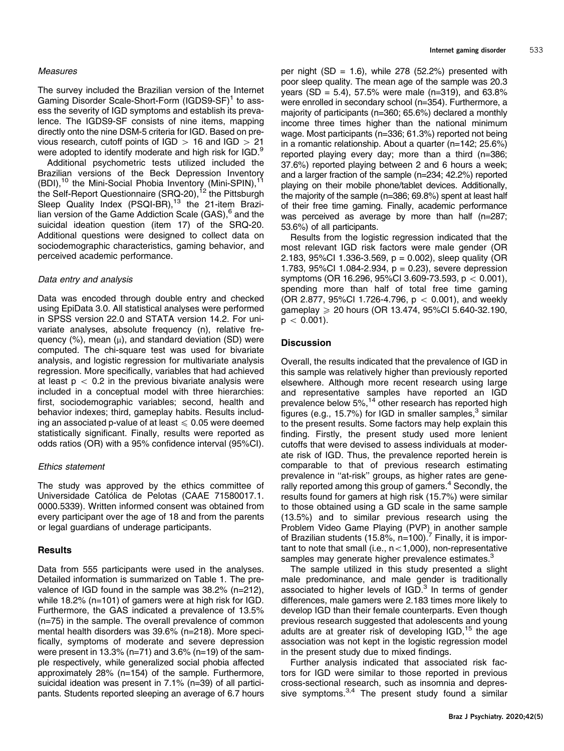#### Measures

The survey included the Brazilian version of the Internet Gaming Disorder Scale-Short-Form (IGDS9-SF)<sup>[1](#page-3-0)</sup> to assess the severity of IGD symptoms and establish its prevalence. The IGDS9-SF consists of nine items, mapping directly onto the nine DSM-5 criteria for IGD. Based on previous research, cutoff points of  $IGD > 16$  and  $IGD > 21$ were adopted to identify moderate and high risk for IGD.<sup>9</sup>

Additional psychometric tests utilized included the Brazilian versions of the Beck Depression Inventory  $(BDI)$ ,<sup>[10](#page-3-0)</sup> the Mini-Social Phobia Inventory (Mini-SPIN),<sup>[11](#page-3-0)</sup> the Self-Report Questionnaire (SRQ-20),<sup>[12](#page-3-0)</sup> the Pittsburgh Sleep Quality Index (PSQI-BR),<sup>13</sup> the 21-item Brazi-lian version of the Game Addiction Scale (GAS),<sup>[6](#page-3-0)</sup> and the suicidal ideation question (item 17) of the SRQ-20. Additional questions were designed to collect data on sociodemographic characteristics, gaming behavior, and perceived academic performance.

#### Data entry and analysis

Data was encoded through double entry and checked using EpiData 3.0. All statistical analyses were performed in SPSS version 22.0 and STATA version 14.2. For univariate analyses, absolute frequency (n), relative frequency  $(\%)$ , mean  $(\mu)$ , and standard deviation (SD) were computed. The chi-square test was used for bivariate analysis, and logistic regression for multivariate analysis regression. More specifically, variables that had achieved at least  $p < 0.2$  in the previous bivariate analysis were included in a conceptual model with three hierarchies: first, sociodemographic variables; second, health and behavior indexes; third, gameplay habits. Results including an associated p-value of at least  $\leq 0.05$  were deemed statistically significant. Finally, results were reported as odds ratios (OR) with a 95% confidence interval (95%CI).

#### Ethics statement

The study was approved by the ethics committee of Universidade Católica de Pelotas (CAAE 71580017.1. 0000.5339). Written informed consent was obtained from every participant over the age of 18 and from the parents or legal guardians of underage participants.

#### Results

Data from 555 participants were used in the analyses. Detailed information is summarized on [Table 1](#page-2-0). The prevalence of IGD found in the sample was 38.2% (n=212), while 18.2% (n=101) of gamers were at high risk for IGD. Furthermore, the GAS indicated a prevalence of 13.5% (n=75) in the sample. The overall prevalence of common mental health disorders was 39.6% (n=218). More specifically, symptoms of moderate and severe depression were present in 13.3% ( $n=71$ ) and 3.6% ( $n=19$ ) of the sample respectively, while generalized social phobia affected approximately 28% (n=154) of the sample. Furthermore, suicidal ideation was present in 7.1% (n=39) of all participants. Students reported sleeping an average of 6.7 hours

per night  $(SD = 1.6)$ , while 278 (52.2%) presented with poor sleep quality. The mean age of the sample was 20.3 years (SD = 5.4), 57.5% were male (n=319), and 63.8% were enrolled in secondary school (n=354). Furthermore, a majority of participants (n=360; 65.6%) declared a monthly income three times higher than the national minimum wage. Most participants (n=336; 61.3%) reported not being in a romantic relationship. About a quarter (n=142; 25.6%) reported playing every day; more than a third (n=386; 37.6%) reported playing between 2 and 6 hours a week; and a larger fraction of the sample (n=234; 42.2%) reported playing on their mobile phone/tablet devices. Additionally, the majority of the sample (n=386; 69.8%) spent at least half of their free time gaming. Finally, academic performance was perceived as average by more than half (n=287; 53.6%) of all participants.

Results from the logistic regression indicated that the most relevant IGD risk factors were male gender (OR 2.183, 95%Cl 1.336-3.569,  $p = 0.002$ ), sleep quality (OR 1.783,  $95\%$ CI 1.084-2.934,  $p = 0.23$ ), severe depression symptoms (OR 16.296, 95%CI 3.609-73.593,  $p < 0.001$ ), spending more than half of total free time gaming (OR 2.877, 95%Cl 1.726-4.796,  $p < 0.001$ ), and weekly gameplay  $\ge 20$  hours (OR 13.474, 95%CI 5.640-32.190,  $p < 0.001$ ).

### **Discussion**

Overall, the results indicated that the prevalence of IGD in this sample was relatively higher than previously reported elsewhere. Although more recent research using large and representative samples have reported an IGD prevalence below 5%,<sup>[14](#page-3-0)</sup> other research has reported high figures (e.g., 15.7%) for IGD in smaller samples, $3$  similar to the present results. Some factors may help explain this finding. Firstly, the present study used more lenient cutoffs that were devised to assess individuals at moderate risk of IGD. Thus, the prevalence reported herein is comparable to that of previous research estimating prevalence in ''at-risk'' groups, as higher rates are gene-rally reported among this group of gamers.<sup>[4](#page-3-0)</sup> Secondly, the results found for gamers at high risk (15.7%) were similar to those obtained using a GD scale in the same sample (13.5%) and to similar previous research using the Problem Video Game Playing (PVP) in another sample of Brazilian students (15.8%,  $n=100$ ).<sup>[7](#page-3-0)</sup> Finally, it is important to note that small (i.e.,  $n < 1,000$ ), non-representative samples may generate higher prevalence estimates.<sup>[3](#page-3-0)</sup>

The sample utilized in this study presented a slight male predominance, and male gender is traditionally associated to higher levels of  $IGD<sup>3</sup>$  In terms of gender differences, male gamers were 2.183 times more likely to develop IGD than their female counterparts. Even though previous research suggested that adolescents and young adults are at greater risk of developing  $IGD$ , <sup>[15](#page-3-0)</sup> the age association was not kept in the logistic regression model in the present study due to mixed findings.

Further analysis indicated that associated risk factors for IGD were similar to those reported in previous cross-sectional research, such as insomnia and depres-sive symptoms.<sup>[3,4](#page-3-0)</sup> The present study found a similar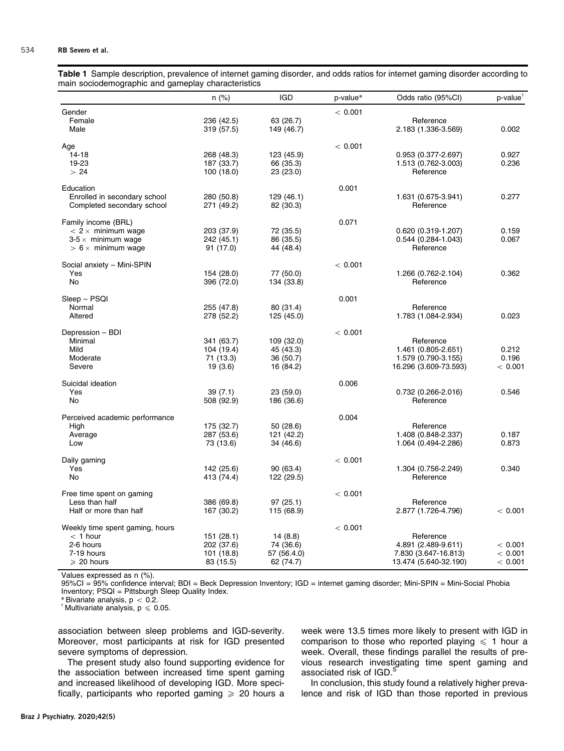<span id="page-2-0"></span>Table 1 Sample description, prevalence of internet gaming disorder, and odds ratios for internet gaming disorder according to main sociodemographic and gameplay characteristics

|                                                                                                            | $n$ (%)                                             | <b>IGD</b>                                        | p-value* | Odds ratio (95%CI)                                                                | p-value <sup>1</sup>          |
|------------------------------------------------------------------------------------------------------------|-----------------------------------------------------|---------------------------------------------------|----------|-----------------------------------------------------------------------------------|-------------------------------|
| Gender<br>Female<br>Male                                                                                   | 236 (42.5)<br>319 (57.5)                            | 63 (26.7)<br>149 (46.7)                           | < 0.001  | Reference<br>2.183 (1.336-3.569)                                                  | 0.002                         |
| Age<br>14-18<br>19-23<br>>24                                                                               | 268 (48.3)<br>187 (33.7)<br>100 (18.0)              | 123 (45.9)<br>66 (35.3)<br>23 (23.0)              | < 0.001  | $0.953(0.377 - 2.697)$<br>1.513 (0.762-3.003)<br>Reference                        | 0.927<br>0.236                |
| Education<br>Enrolled in secondary school<br>Completed secondary school                                    | 280 (50.8)<br>271 (49.2)                            | 129 (46.1)<br>82 (30.3)                           | 0.001    | 1.631 (0.675-3.941)<br>Reference                                                  | 0.277                         |
| Family income (BRL)<br>$< 2 \times$ minimum wage<br>$3-5 \times$ minimum wage<br>$> 6 \times$ minimum wage | 203 (37.9)<br>242 (45.1)<br>91 (17.0)               | 72 (35.5)<br>86 (35.5)<br>44 (48.4)               | 0.071    | $0.620(0.319-1.207)$<br>$0.544(0.284 - 1.043)$<br>Reference                       | 0.159<br>0.067                |
| Social anxiety - Mini-SPIN<br>Yes<br>No                                                                    | 154 (28.0)<br>396 (72.0)                            | 77 (50.0)<br>134 (33.8)                           | < 0.001  | 1.266 (0.762-2.104)<br>Reference                                                  | 0.362                         |
| Sleep – PSQI<br>Normal<br>Altered                                                                          | 255 (47.8)<br>278 (52.2)                            | 80 (31.4)<br>125 (45.0)                           | 0.001    | Reference<br>1.783 (1.084-2.934)                                                  | 0.023                         |
| Depression - BDI<br>Minimal<br>Mild<br>Moderate<br>Severe                                                  | 341 (63.7)<br>104 (19.4)<br>71 (13.3)<br>19(3.6)    | 109 (32.0)<br>45 (43.3)<br>36 (50.7)<br>16 (84.2) | < 0.001  | Reference<br>1.461 (0.805-2.651)<br>1.579 (0.790-3.155)<br>16.296 (3.609-73.593)  | 0.212<br>0.196<br>< 0.001     |
| Suicidal ideation<br>Yes<br>No                                                                             | 39(7.1)<br>508 (92.9)                               | 23 (59.0)<br>186 (36.6)                           | 0.006    | $0.732(0.266 - 2.016)$<br>Reference                                               | 0.546                         |
| Perceived academic performance<br>High<br>Average<br>Low                                                   | 175 (32.7)<br>287 (53.6)<br>73 (13.6)               | 50 (28.6)<br>121 (42.2)<br>34 (46.6)              | 0.004    | Reference<br>1.408 (0.848-2.337)<br>1.064 (0.494-2.286)                           | 0.187<br>0.873                |
| Daily gaming<br>Yes<br><b>No</b>                                                                           | 142 (25.6)<br>413 (74.4)                            | 90 (63.4)<br>122 (29.5)                           | < 0.001  | 1.304 (0.756-2.249)<br>Reference                                                  | 0.340                         |
| Free time spent on gaming<br>Less than half<br>Half or more than half                                      | 386 (69.8)<br>167 (30.2)                            | 97(25.1)<br>115 (68.9)                            | < 0.001  | Reference<br>2.877 (1.726-4.796)                                                  | < 0.001                       |
| Weekly time spent gaming, hours<br>$<$ 1 hour<br>2-6 hours<br>7-19 hours<br>$\geqslant$ 20 hours           | 151 (28.1)<br>202 (37.6)<br>101 (18.8)<br>83 (15.5) | 14(8.8)<br>74 (36.6)<br>57 (56.4.0)<br>62 (74.7)  | < 0.001  | Reference<br>4.891 (2.489-9.611)<br>7.830 (3.647-16.813)<br>13.474 (5.640-32.190) | < 0.001<br>< 0.001<br>< 0.001 |

Values expressed as n (%).

95%CI = 95% confidence interval; BDI = Beck Depression Inventory; IGD = internet gaming disorder; Mini-SPIN = Mini-Social Phobia Inventory; PSQI = Pittsburgh Sleep Quality Index.<br>\* Bivariate analysis,  $p < 0.2$ .

 $*$  Multivariate analysis, p  $\leq 0.05$ .

association between sleep problems and IGD-severity. Moreover, most participants at risk for IGD presented severe symptoms of depression.

The present study also found supporting evidence for the association between increased time spent gaming and increased likelihood of developing IGD. More specifically, participants who reported gaming  $\geq 20$  hours a week were 13.5 times more likely to present with IGD in comparison to those who reported playing  $\leq 1$  hour a week. Overall, these findings parallel the results of previous research investigating time spent gaming and associated risk of IGD.<sup>[5](#page-3-0)</sup>

In conclusion, this study found a relatively higher prevalence and risk of IGD than those reported in previous